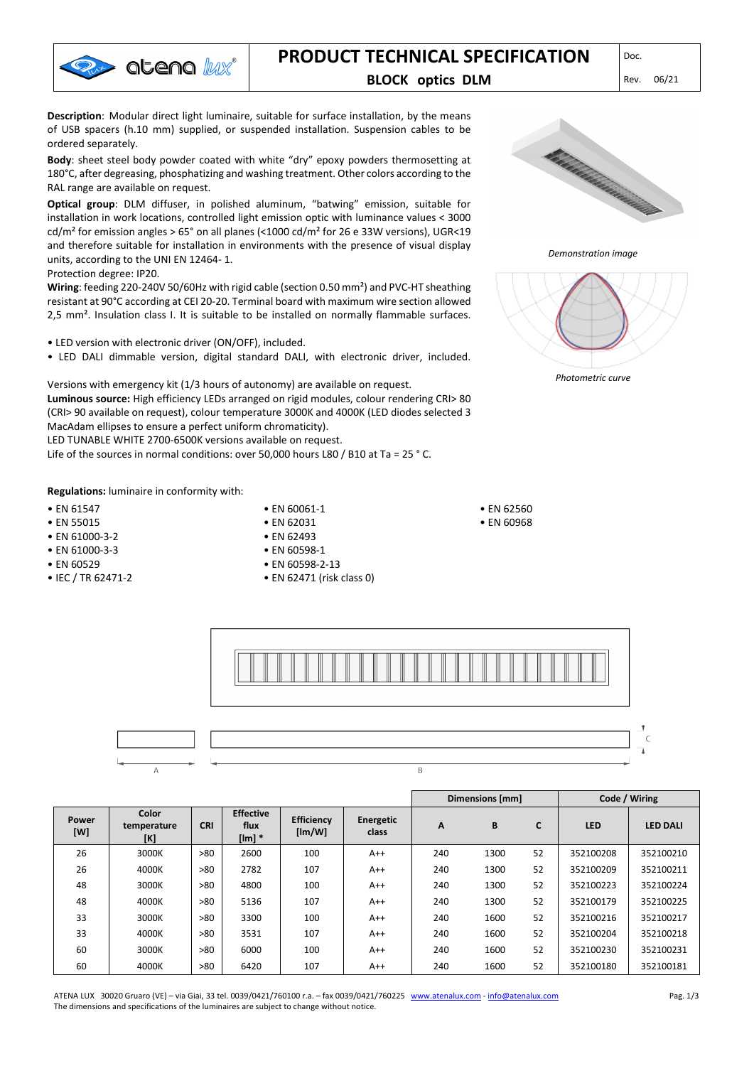

# **PRODUCT TECHNICAL SPECIFICATION** DDCC.

### **BLOCK optics DLM** Rev. 06/21

**Description**: Modular direct light luminaire, suitable for surface installation, by the means of USB spacers (h.10 mm) supplied, or suspended installation. Suspension cables to be ordered separately.

**Body**: sheet steel body powder coated with white "dry" epoxy powders thermosetting at 180°C, after degreasing, phosphatizing and washing treatment. Other colors according to the RAL range are available on request.

**Optical group**: DLM diffuser, in polished aluminum, "batwing" emission, suitable for installation in work locations, controlled light emission optic with luminance values < 3000 cd/m<sup>2</sup> for emission angles > 65° on all planes (<1000 cd/m<sup>2</sup> for 26 e 33W versions), UGR<19 and therefore suitable for installation in environments with the presence of visual display units, according to the UNI EN 12464- 1.

Protection degree: IP20.

**Wiring**: feeding 220-240V 50/60Hz with rigid cable (section 0.50 mm²) and PVC-HT sheathing resistant at 90°C according at CEI 20-20. Terminal board with maximum wire section allowed 2,5 mm². Insulation class I. It is suitable to be installed on normally flammable surfaces.

- LED version with electronic driver (ON/OFF), included.
- LED DALI dimmable version, digital standard DALI, with electronic driver, included.

Versions with emergency kit (1/3 hours of autonomy) are available on request.

**Luminous source:** High efficiency LEDs arranged on rigid modules, colour rendering CRI> 80 (CRI> 90 available on request), colour temperature 3000K and 4000K (LED diodes selected 3 MacAdam ellipses to ensure a perfect uniform chromaticity).

LED TUNABLE WHITE 2700-6500K versions available on request.

Life of the sources in normal conditions: over 50,000 hours L80 / B10 at Ta = 25 ° C.

**Regulations:** luminaire in conformity with:

- EN 61547
- EN 55015
- EN 61000-3-2
- EN 61000-3-3
- EN 60529
- IEC / TR 62471-2
- EN 60061-1 • EN 62031 • EN 62493
- EN 60598-1
- 
- EN 60598-2-13
- EN 62471 (risk class 0)



*Demonstration image*



*Photometric curve*

• EN 62560 • EN 60968



|              |                             |            |                                      |                             |                    | Dimensions [mm] |      |    | Code / Wiring |                 |
|--------------|-----------------------------|------------|--------------------------------------|-----------------------------|--------------------|-----------------|------|----|---------------|-----------------|
| Power<br>[W] | Color<br>temperature<br>[K] | <b>CRI</b> | <b>Effective</b><br>flux<br>$[Im]$ * | <b>Efficiency</b><br>[Im/W] | Energetic<br>class | A               | B    | C  | <b>LED</b>    | <b>LED DALI</b> |
| 26           | 3000K                       | >80        | 2600                                 | 100                         | $A++$              | 240             | 1300 | 52 | 352100208     | 352100210       |
| 26           | 4000K                       | >80        | 2782                                 | 107                         | $A++$              | 240             | 1300 | 52 | 352100209     | 352100211       |
| 48           | 3000K                       | >80        | 4800                                 | 100                         | $A++$              | 240             | 1300 | 52 | 352100223     | 352100224       |
| 48           | 4000K                       | >80        | 5136                                 | 107                         | $A++$              | 240             | 1300 | 52 | 352100179     | 352100225       |
| 33           | 3000K                       | >80        | 3300                                 | 100                         | $A++$              | 240             | 1600 | 52 | 352100216     | 352100217       |
| 33           | 4000K                       | >80        | 3531                                 | 107                         | $A++$              | 240             | 1600 | 52 | 352100204     | 352100218       |
| 60           | 3000K                       | >80        | 6000                                 | 100                         | $A++$              | 240             | 1600 | 52 | 352100230     | 352100231       |
| 60           | 4000K                       | >80        | 6420                                 | 107                         | $A++$              | 240             | 1600 | 52 | 352100180     | 352100181       |

ATENA LUX 30020 Gruaro (VE) – via Giai, 33 tel. 0039/0421/760100 r.a. – fax 0039/0421/760225 [www.atenalux.com](http://www.atenalux.com/) - [info@atenalux.com](mailto:info@atenalux.com) The dimensions and specifications of the luminaires are subject to change without notice.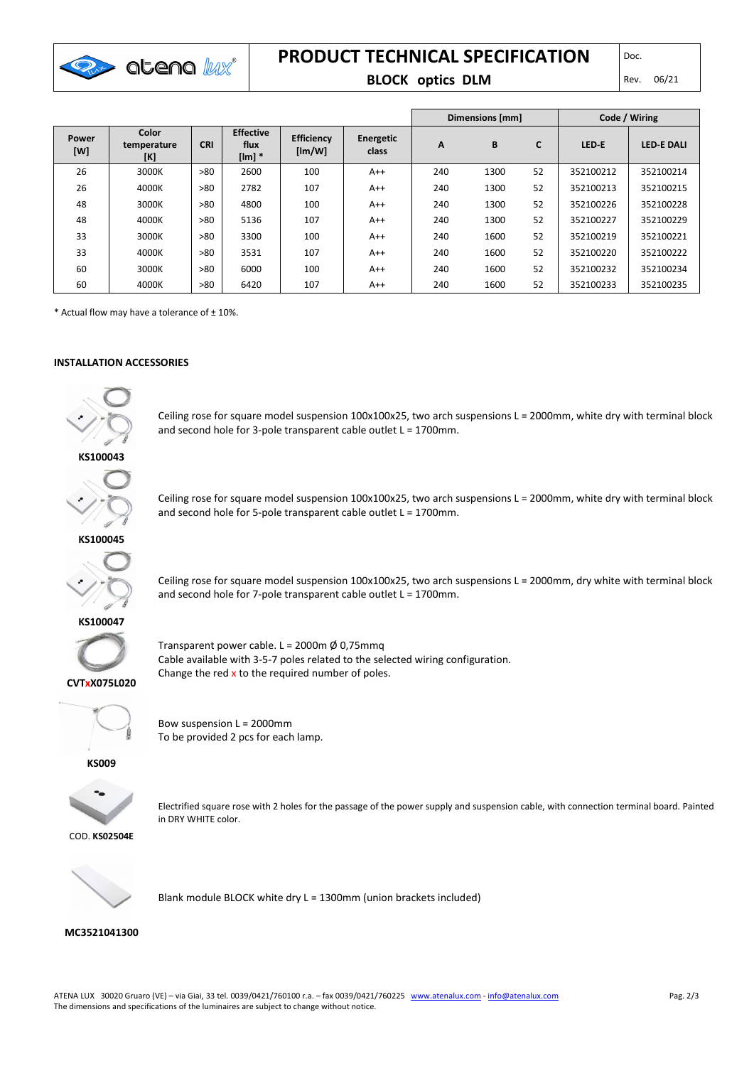

## **PRODUCT TECHNICAL SPECIFICATION**

#### **BLOCK optics DLM** Rev. 06/21

|              |                             |            |                                      |                             |                    | Dimensions [mm] |      |    | Code / Wiring |                   |
|--------------|-----------------------------|------------|--------------------------------------|-----------------------------|--------------------|-----------------|------|----|---------------|-------------------|
| Power<br>[W] | Color<br>temperature<br>[K] | <b>CRI</b> | <b>Effective</b><br>flux<br>$[Im]$ * | <b>Efficiency</b><br>[Im/W] | Energetic<br>class | A               | B    | C  | LED-E         | <b>LED E DALI</b> |
| 26           | 3000K                       | >80        | 2600                                 | 100                         | $A++$              | 240             | 1300 | 52 | 352100212     | 352100214         |
| 26           | 4000K                       | >80        | 2782                                 | 107                         | $A++$              | 240             | 1300 | 52 | 352100213     | 352100215         |
| 48           | 3000K                       | >80        | 4800                                 | 100                         | $A++$              | 240             | 1300 | 52 | 352100226     | 352100228         |
| 48           | 4000K                       | >80        | 5136                                 | 107                         | $A++$              | 240             | 1300 | 52 | 352100227     | 352100229         |
| 33           | 3000K                       | >80        | 3300                                 | 100                         | $A++$              | 240             | 1600 | 52 | 352100219     | 352100221         |
| 33           | 4000K                       | >80        | 3531                                 | 107                         | $A++$              | 240             | 1600 | 52 | 352100220     | 352100222         |
| 60           | 3000K                       | >80        | 6000                                 | 100                         | $A++$              | 240             | 1600 | 52 | 352100232     | 352100234         |
| 60           | 4000K                       | >80        | 6420                                 | 107                         | $A++$              | 240             | 1600 | 52 | 352100233     | 352100235         |

 $*$  Actual flow may have a tolerance of  $\pm$  10%.

#### **INSTALLATION ACCESSORIES**



Ceiling rose for square model suspension 100x100x25, two arch suspensions L = 2000mm, white dry with terminal block and second hole for 3-pole transparent cable outlet L = 1700mm.

### **KS100043**



Ceiling rose for square model suspension 100x100x25, two arch suspensions L = 2000mm, white dry with terminal block and second hole for 5-pole transparent cable outlet L = 1700mm.

**KS100045**



Ceiling rose for square model suspension 100x100x25, two arch suspensions L = 2000mm, dry white with terminal block and second hole for 7-pole transparent cable outlet L = 1700mm.



Transparent power cable. L = 2000m  $\emptyset$  0,75mmq Cable available with 3-5-7 poles related to the selected wiring configuration. Change the red  $x$  to the required number of poles.



**CVTxX075L020**

Bow suspension L = 2000mm To be provided 2 pcs for each lamp.

**KS009**



Electrified square rose with 2 holes for the passage of the power supply and suspension cable, with connection terminal board. Painted in DRY WHITE color.



Blank module BLOCK white dry L = 1300mm (union brackets included)

#### **MC3521041300**